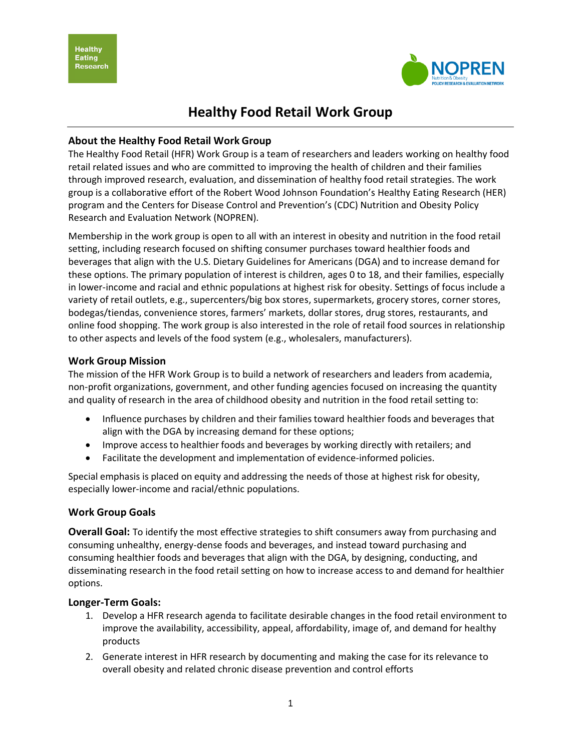**Healthy Eating Research** 



# **Healthy Food Retail Work Group**

## **About the Healthy Food Retail Work Group**

The Healthy Food Retail (HFR) Work Group is a team of researchers and leaders working on healthy food retail related issues and who are committed to improving the health of children and their families through improved research, evaluation, and dissemination of healthy food retail strategies. The work group is a collaborative effort of the Robert Wood Johnson Foundation's Healthy Eating Research (HER) program and the Centers for Disease Control and Prevention's (CDC) Nutrition and Obesity Policy Research and Evaluation Network (NOPREN).

Membership in the work group is open to all with an interest in obesity and nutrition in the food retail setting, including research focused on shifting consumer purchases toward healthier foods and beverages that align with the U.S. Dietary Guidelines for Americans (DGA) and to increase demand for these options. The primary population of interest is children, ages 0 to 18, and their families, especially in lower-income and racial and ethnic populations at highest risk for obesity. Settings of focus include a variety of retail outlets, e.g., supercenters/big box stores, supermarkets, grocery stores, corner stores, bodegas/tiendas, convenience stores, farmers' markets, dollar stores, drug stores, restaurants, and online food shopping. The work group is also interested in the role of retail food sources in relationship to other aspects and levels of the food system (e.g., wholesalers, manufacturers).

#### **Work Group Mission**

The mission of the HFR Work Group is to build a network of researchers and leaders from academia, non-profit organizations, government, and other funding agencies focused on increasing the quantity and quality of research in the area of childhood obesity and nutrition in the food retail setting to:

- Influence purchases by children and their families toward healthier foods and beverages that align with the DGA by increasing demand for these options;
- Improve access to healthier foods and beverages by working directly with retailers; and
- Facilitate the development and implementation of evidence-informed policies.

Special emphasis is placed on equity and addressing the needs of those at highest risk for obesity, especially lower-income and racial/ethnic populations.

## **Work Group Goals**

**Overall Goal:** To identify the most effective strategies to shift consumers away from purchasing and consuming unhealthy, energy-dense foods and beverages, and instead toward purchasing and consuming healthier foods and beverages that align with the DGA, by designing, conducting, and disseminating research in the food retail setting on how to increase access to and demand for healthier options.

## **Longer-Term Goals:**

- 1. Develop a HFR research agenda to facilitate desirable changes in the food retail environment to improve the availability, accessibility, appeal, affordability, image of, and demand for healthy products
- 2. Generate interest in HFR research by documenting and making the case for its relevance to overall obesity and related chronic disease prevention and control efforts